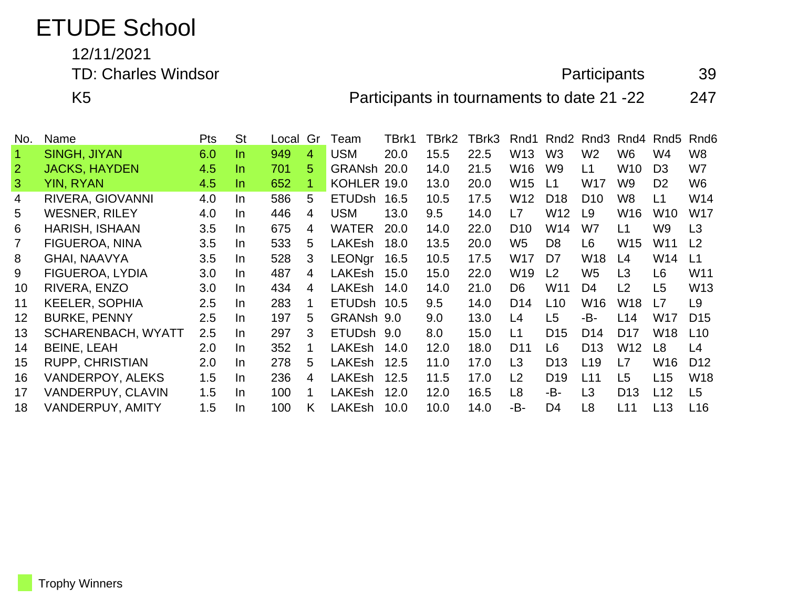## ETUDE School

12/11/2021

TD: Charles Windsor **Participants** 39

K5 **Participants in tournaments to date 21 -22** 247

| No.            | Name                      | <b>Pts</b> | <b>St</b> | Local | Gr | Team          | TBrk1 | TBrk2 | TBrk3 | Rnd1            | Rnd <sub>2</sub> | Rnd3            |                 | Rnd4 Rnd5       | Rnd6            |
|----------------|---------------------------|------------|-----------|-------|----|---------------|-------|-------|-------|-----------------|------------------|-----------------|-----------------|-----------------|-----------------|
| $\overline{1}$ | <b>SINGH, JIYAN</b>       | 6.0        | In.       | 949   | 4  | <b>USM</b>    | 20.0  | 15.5  | 22.5  | W <sub>13</sub> | W <sub>3</sub>   | W <sub>2</sub>  | W <sub>6</sub>  | W4              | W8              |
| $\overline{2}$ | <b>JACKS, HAYDEN</b>      | 4.5        | In.       | 701   | 5  | GRANsh 20.0   |       | 14.0  | 21.5  | W <sub>16</sub> | W <sub>9</sub>   | L1              | W <sub>10</sub> | D <sub>3</sub>  | W7              |
| $\mathbf{3}$   | <b>YIN, RYAN</b>          | 4.5        | In.       | 652   | 1  | KOHLER 19.0   |       | 13.0  | 20.0  | W15             | L1               | <b>W17</b>      | W9              | D <sub>2</sub>  | W <sub>6</sub>  |
| $\overline{4}$ | RIVERA, GIOVANNI          | 4.0        | In.       | 586   | 5  | ETUDsh 16.5   |       | 10.5  | 17.5  | W <sub>12</sub> | D <sub>18</sub>  | D <sub>10</sub> | W8              | L1              | W14             |
| 5.             | <b>WESNER, RILEY</b>      | 4.0        | In.       | 446   | 4  | <b>USM</b>    | 13.0  | 9.5   | 14.0  | L7              | W12              | L <sub>9</sub>  | W <sub>16</sub> | W <sub>10</sub> | <b>W17</b>      |
| 6              | HARISH, ISHAAN            | 3.5        | In.       | 675   | 4  | <b>WATER</b>  | 20.0  | 14.0  | 22.0  | D <sub>10</sub> | W14              | W7              | L1              | W9              | L3              |
|                | FIGUEROA, NINA            | 3.5        | In.       | 533   | 5  | <b>LAKEsh</b> | 18.0  | 13.5  | 20.0  | W <sub>5</sub>  | D <sub>8</sub>   | L <sub>6</sub>  | W <sub>15</sub> | W11             | L <sub>2</sub>  |
| 8              | <b>GHAI, NAAVYA</b>       | 3.5        | In.       | 528   | 3  | <b>LEONgr</b> | 16.5  | 10.5  | 17.5  | W17             | D7               | W <sub>18</sub> | L4              | W14             | L1              |
| 9              | FIGUEROA, LYDIA           | 3.0        | In.       | 487   | 4  | LAKEsh        | 15.0  | 15.0  | 22.0  | W19             | L2               | W <sub>5</sub>  | L <sub>3</sub>  | L <sub>6</sub>  | W11             |
| 10             | RIVERA, ENZO              | 3.0        | In.       | 434   | 4  | LAKEsh        | 14.0  | 14.0  | 21.0  | D6              | W11              | D <sub>4</sub>  | L2              | L <sub>5</sub>  | W <sub>13</sub> |
| 11             | <b>KEELER, SOPHIA</b>     | 2.5        | In.       | 283   |    | ETUDsh 10.5   |       | 9.5   | 14.0  | D <sub>14</sub> | L <sub>10</sub>  | W16             | W <sub>18</sub> | L7              | L <sub>9</sub>  |
| 12             | <b>BURKE, PENNY</b>       | 2.5        | In.       | 197   | 5  | GRANsh 9.0    |       | 9.0   | 13.0  | L4              | L <sub>5</sub>   | -B-             | L14             | W17             | D <sub>15</sub> |
| 13             | <b>SCHARENBACH, WYATT</b> | 2.5        | In.       | 297   | 3  | ETUDsh 9.0    |       | 8.0   | 15.0  | L1              | D <sub>15</sub>  | D <sub>14</sub> | D <sub>17</sub> | W <sub>18</sub> | L10             |
| 14             | <b>BEINE, LEAH</b>        | 2.0        | In.       | 352   |    | <b>LAKEsh</b> | 14.0  | 12.0  | 18.0  | D <sub>11</sub> | L6               | D <sub>13</sub> | W <sub>12</sub> | L <sub>8</sub>  | L4              |
| 15             | <b>RUPP, CHRISTIAN</b>    | 2.0        | In.       | 278   | 5  | <b>LAKEsh</b> | 12.5  | 11.0  | 17.0  | L3              | D <sub>13</sub>  | L <sub>19</sub> | L7              | W16             | D <sub>12</sub> |
| 16             | <b>VANDERPOY, ALEKS</b>   | 1.5        | In.       | 236   | 4  | <b>LAKEsh</b> | 12.5  | 11.5  | 17.0  | L <sub>2</sub>  | D <sub>19</sub>  | L11             | L5              | L15             | W18             |
| 17             | <b>VANDERPUY, CLAVIN</b>  | 1.5        | In.       | 100   |    | LAKEsh        | 12.0  | 12.0  | 16.5  | L8              | -B-              | L3              | D <sub>13</sub> | L12             | L5              |
| 18             | VANDERPUY, AMITY          | 1.5        | In.       | 100   | K  | <b>LAKEsh</b> | 10.0  | 10.0  | 14.0  | -B-             | D <sub>4</sub>   | L <sub>8</sub>  | L11             | L13             | L16             |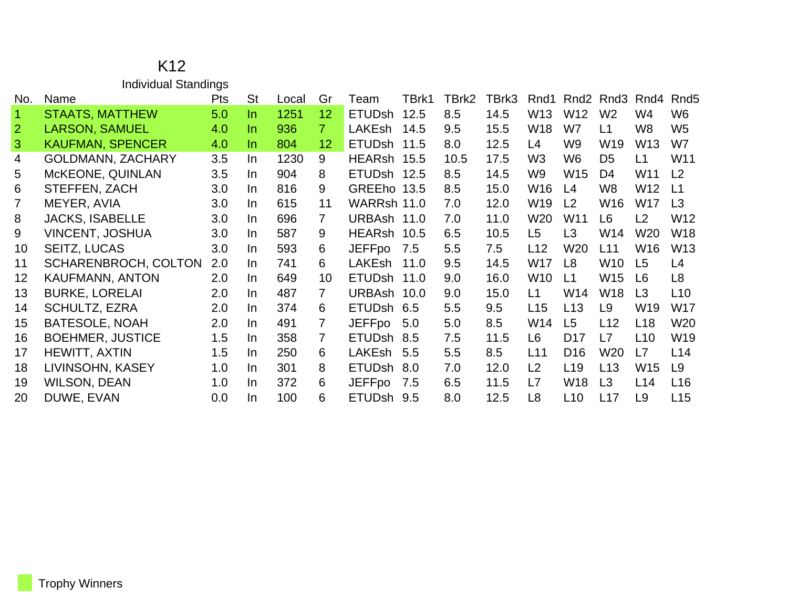| <b>Individual Standings</b> |                             |            |           |       |                |               |       |       |       |                 |                  |                 |                 |                  |
|-----------------------------|-----------------------------|------------|-----------|-------|----------------|---------------|-------|-------|-------|-----------------|------------------|-----------------|-----------------|------------------|
| No.                         | Name                        | <b>Pts</b> | <b>St</b> | Local | Gr             | Team          | TBrk1 | TBrk2 | TBrk3 | Rnd1            | Rnd <sub>2</sub> | Rnd3            | Rnd4            | Rnd <sub>5</sub> |
| $\blacktriangleleft$        | <b>STAATS, MATTHEW</b>      | 5.0        | In.       | 1251  | 12             | <b>ETUDsh</b> | 12.5  | 8.5   | 14.5  | W13             | W <sub>12</sub>  | W <sub>2</sub>  | W4              | W <sub>6</sub>   |
| $\overline{2}$              | <b>LARSON, SAMUEL</b>       | 4.0        | In.       | 936   | 7 <sup>1</sup> | LAKEsh        | 14.5  | 9.5   | 15.5  | W <sub>18</sub> | W7               | L1              | W8              | W <sub>5</sub>   |
| 3                           | <b>KAUFMAN, SPENCER</b>     | 4.0        | In.       | 804   | 12             | <b>ETUDsh</b> | 11.5  | 8.0   | 12.5  | L4              | W9               | W19             | W13             | W7               |
| 4                           | <b>GOLDMANN, ZACHARY</b>    | 3.5        | In.       | 1230  | 9              | HEARsh 15.5   |       | 10.5  | 17.5  | W <sub>3</sub>  | W6               | D <sub>5</sub>  | L1              | W11              |
| 5                           | McKEONE, QUINLAN            | 3.5        | In.       | 904   | 8              | ETUDsh 12.5   |       | 8.5   | 14.5  | W9              | W <sub>15</sub>  | D <sub>4</sub>  | W11             | L <sub>2</sub>   |
| 6                           | STEFFEN, ZACH               | 3.0        | In.       | 816   | 9              | GREEho 13.5   |       | 8.5   | 15.0  | W16             | L4               | W <sub>8</sub>  | W12             | L <sub>1</sub>   |
| $\overline{7}$              | MEYER, AVIA                 | 3.0        | In.       | 615   | 11             | WARRsh 11.0   |       | 7.0   | 12.0  | W <sub>19</sub> | L <sub>2</sub>   | W16             | W17             | L3               |
| 8                           | <b>JACKS, ISABELLE</b>      | 3.0        | In.       | 696   | $\overline{7}$ | URBAsh 11.0   |       | 7.0   | 11.0  | W <sub>20</sub> | W11              | L <sub>6</sub>  | L2              | W12              |
| 9                           | <b>VINCENT, JOSHUA</b>      | 3.0        | In.       | 587   | 9              | HEARsh 10.5   |       | 6.5   | 10.5  | L <sub>5</sub>  | L3               | W14             | W <sub>20</sub> | <b>W18</b>       |
| 10                          | <b>SEITZ, LUCAS</b>         | 3.0        | In.       | 593   | 6              | <b>JEFFpo</b> | 7.5   | 5.5   | 7.5   | L12             | W20              | L11             | W16             | W <sub>13</sub>  |
| 11                          | <b>SCHARENBROCH, COLTON</b> | 2.0        | In.       | 741   | 6              | <b>LAKEsh</b> | 11.0  | 9.5   | 14.5  | W17             | L8               | W10             | L <sub>5</sub>  | L4               |
| 12                          | KAUFMANN, ANTON             | 2.0        | In.       | 649   | 10             | <b>ETUDsh</b> | 11.0  | 9.0   | 16.0  | W <sub>10</sub> | L1               | W <sub>15</sub> | L <sub>6</sub>  | L8               |
| 13                          | <b>BURKE, LORELAI</b>       | 2.0        | In        | 487   | $\overline{7}$ | URBAsh 10.0   |       | 9.0   | 15.0  | L1              | W14              | W <sub>18</sub> | L <sub>3</sub>  | L10              |
| 14                          | <b>SCHULTZ, EZRA</b>        | 2.0        | In.       | 374   | 6              | <b>ETUDsh</b> | 6.5   | 5.5   | 9.5   | L15             | L13              | L9              | W19             | <b>W17</b>       |
| 15                          | <b>BATESOLE, NOAH</b>       | 2.0        | In.       | 491   | $\overline{7}$ | <b>JEFFpo</b> | 5.0   | 5.0   | 8.5   | W14             | L <sub>5</sub>   | L12             | L <sub>18</sub> | W <sub>20</sub>  |
| 16                          | <b>BOEHMER, JUSTICE</b>     | 1.5        | In.       | 358   | $\overline{7}$ | ETUDsh 8.5    |       | 7.5   | 11.5  | L <sub>6</sub>  | D <sub>17</sub>  | L7              | L <sub>10</sub> | W19              |
| 17                          | <b>HEWITT, AXTIN</b>        | 1.5        | In.       | 250   | 6              | LAKEsh        | 5.5   | 5.5   | 8.5   | L11             | D <sub>16</sub>  | W <sub>20</sub> | L7              | L14              |
| 18                          | LIVINSOHN, KASEY            | 1.0        | In.       | 301   | 8              | <b>ETUDsh</b> | 8.0   | 7.0   | 12.0  | L2              | L <sub>19</sub>  | L13             | W15             | L9               |
| 19                          | <b>WILSON, DEAN</b>         | 1.0        | In.       | 372   | 6              | <b>JEFFpo</b> | 7.5   | 6.5   | 11.5  | L7              | W18              | L3              | L14             | L16              |
| 20                          | DUWE, EVAN                  | 0.0        | In.       | 100   | 6              | ETUDsh 9.5    |       | 8.0   | 12.5  | L <sub>8</sub>  | L10              | L17             | L <sub>9</sub>  | L15              |

## K12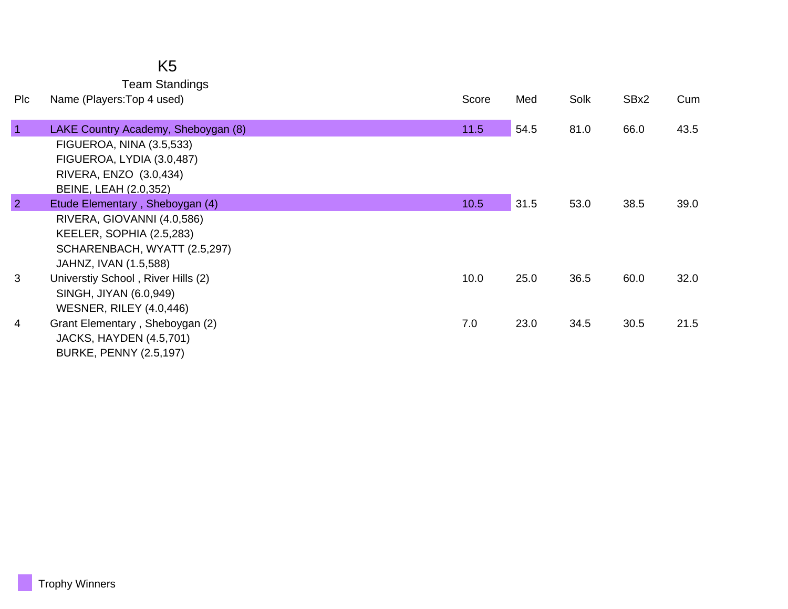| K5                    |
|-----------------------|
| <b>Team Standings</b> |

| Plc            | Name (Players: Top 4 used)                                                                                                                         | Score | Med  | Solk | SBx2 | Cum  |
|----------------|----------------------------------------------------------------------------------------------------------------------------------------------------|-------|------|------|------|------|
|                | LAKE Country Academy, Sheboygan (8)<br>FIGUEROA, NINA (3.5,533)<br>FIGUEROA, LYDIA (3.0,487)<br>RIVERA, ENZO (3.0,434)<br>BEINE, LEAH (2.0,352)    | 11.5  | 54.5 | 81.0 | 66.0 | 43.5 |
| $\overline{2}$ | Etude Elementary, Sheboygan (4)<br>RIVERA, GIOVANNI (4.0,586)<br>KEELER, SOPHIA (2.5,283)<br>SCHARENBACH, WYATT (2.5,297)<br>JAHNZ, IVAN (1.5,588) | 10.5  | 31.5 | 53.0 | 38.5 | 39.0 |
| 3              | Universtiy School, River Hills (2)<br>SINGH, JIYAN (6.0,949)<br><b>WESNER, RILEY (4.0,446)</b>                                                     | 10.0  | 25.0 | 36.5 | 60.0 | 32.0 |
| 4              | Grant Elementary, Sheboygan (2)<br>JACKS, HAYDEN (4.5,701)<br><b>BURKE, PENNY (2.5,197)</b>                                                        | 7.0   | 23.0 | 34.5 | 30.5 | 21.5 |